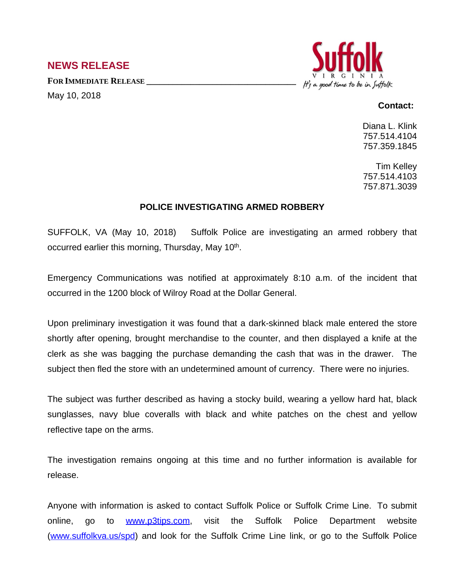## **NEWS RELEASE**

**FOR IMMEDIATE RELEASE \_\_\_\_\_\_\_\_\_\_\_\_\_\_\_\_\_\_\_\_\_\_\_\_\_\_\_\_\_\_\_\_\_\_** May 10, 2018



## **Contact:**

Diana L. Klink 757.514.4104 757.359.1845

Tim Kelley 757.514.4103 757.871.3039

## **POLICE INVESTIGATING ARMED ROBBERY**

SUFFOLK, VA (May 10, 2018) Suffolk Police are investigating an armed robbery that occurred earlier this morning, Thursday, May 10<sup>th</sup>.

Emergency Communications was notified at approximately 8:10 a.m. of the incident that occurred in the 1200 block of Wilroy Road at the Dollar General.

Upon preliminary investigation it was found that a dark-skinned black male entered the store shortly after opening, brought merchandise to the counter, and then displayed a knife at the clerk as she was bagging the purchase demanding the cash that was in the drawer. The subject then fled the store with an undetermined amount of currency. There were no injuries.

The subject was further described as having a stocky build, wearing a yellow hard hat, black sunglasses, navy blue coveralls with black and white patches on the chest and yellow reflective tape on the arms.

The investigation remains ongoing at this time and no further information is available for release.

Anyone with information is asked to contact Suffolk Police or Suffolk Crime Line. To submit online, go to [www.p3tips.com](http://www.p3tips.com), visit the Suffolk Police Department website ([www.suffolkva.us/spd](http://www.suffolkva.us/spd)) and look for the Suffolk Crime Line link, or go to the Suffolk Police